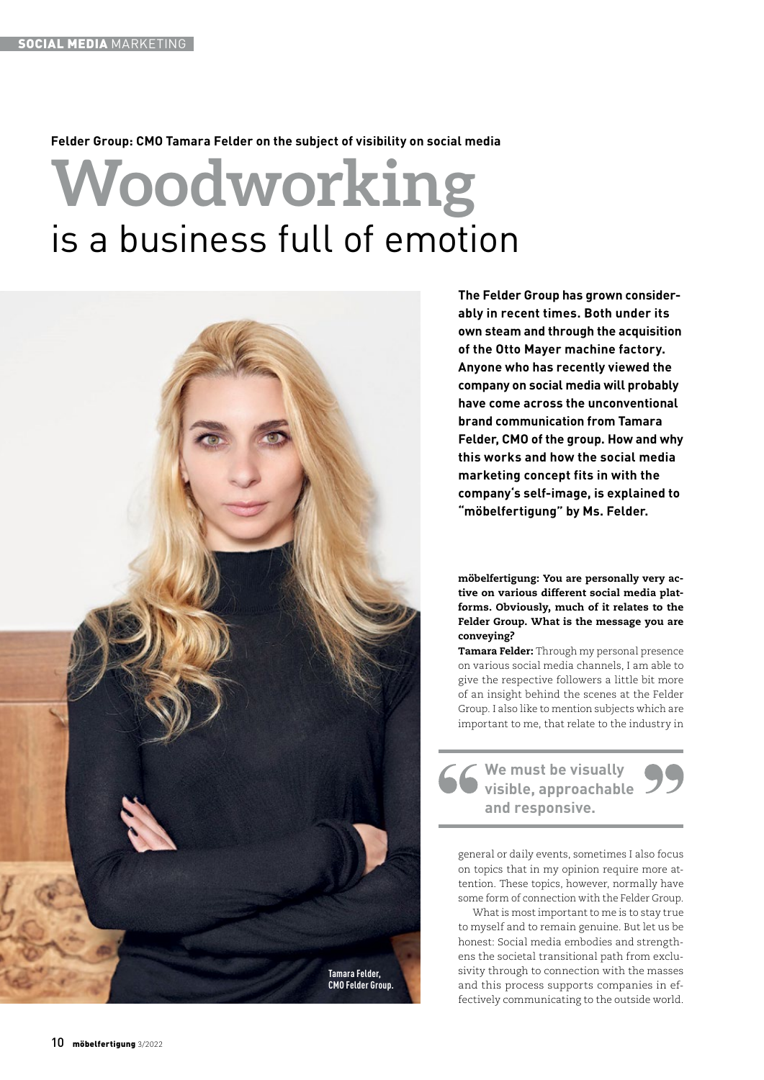# **Felder Group: CMO Tamara Felder on the subject of visibility on social media**

# **Woodworking**  is a business full of emotion



**The Felder Group has grown considerably in recent times. Both under its own steam and through the acquisition of the Otto Mayer machine factory. Anyone who has recently viewed the company on social media will probably have come across the unconventional brand communication from Tamara Felder, CMO of the group. How and why this works and how the social media marketing concept fits in with the company's self-image, is explained to "möbelfertigung" by Ms. Felder.**

möbelfertigung: You are personally very active on various different social media platforms. Obviously, much of it relates to the Felder Group. What is the message you are conveying?

Tamara Felder: Through my personal presence on various social media channels, I am able to give the respective followers a little bit more of an insight behind the scenes at the Felder Group. I also like to mention subjects which are important to me, that relate to the industry in

**We must be visually visible, approachable and responsive.**

general or daily events, sometimes I also focus on topics that in my opinion require more attention. These topics, however, normally have some form of connection with the Felder Group.

What is most important to me is to stay true to myself and to remain genuine. But let us be honest: Social media embodies and strengthens the societal transitional path from exclusivity through to connection with the masses and this process supports companies in effectively communicating to the outside world.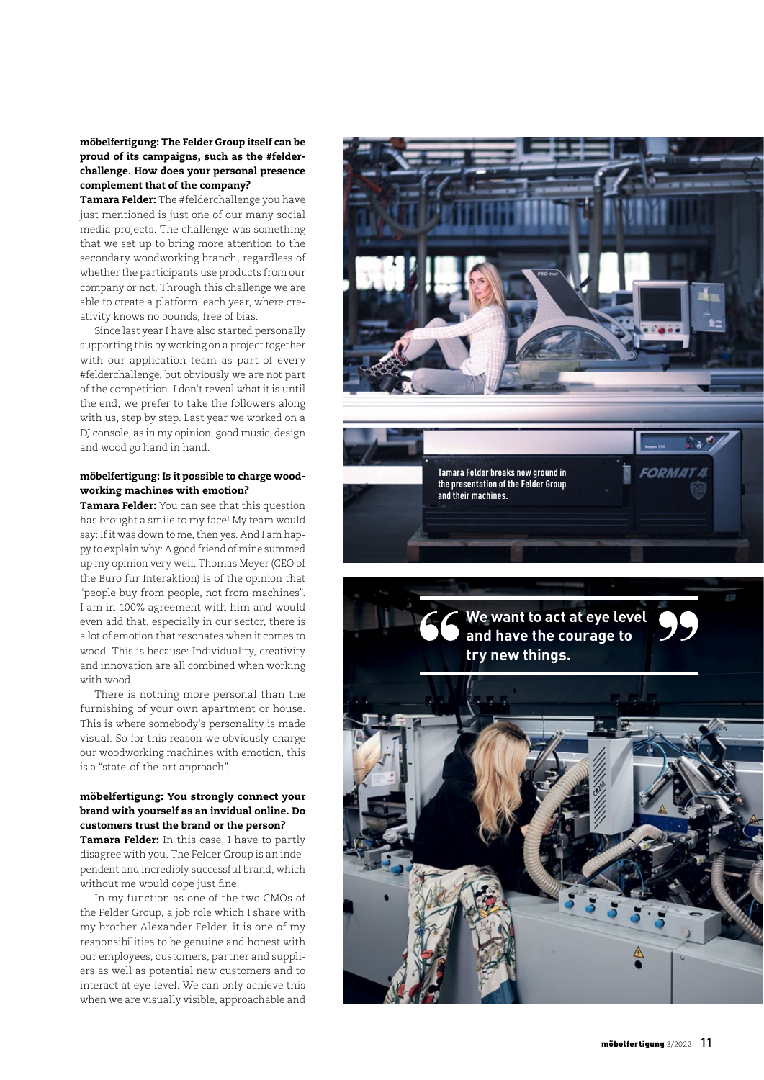möbelfertigung: The Felder Group itself can be proud of its campaigns, such as the #felderchallenge. How does your personal presence complement that of the company?

Tamara Felder: The #felderchallenge you have just mentioned is just one of our many social media projects. The challenge was something that we set up to bring more attention to the secondary woodworking branch, regardless of whether the participants use products from our company or not. Through this challenge we are able to create a platform, each year, where creativity knows no bounds, free of bias.

Since last year I have also started personally supporting this by working on a project together with our application team as part of every #felderchallenge, but obviously we are not part of the competition. I don't reveal what it is until the end, we prefer to take the followers along with us, step by step. Last year we worked on a DJ console, as in my opinion, good music, design and wood go hand in hand.

### möbelfertigung: Is it possible to charge woodworking machines with emotion?

Tamara Felder: You can see that this question has brought a smile to my face! My team would say: If it was down to me, then yes. And I am happy to explain why: A good friend of mine summed up my opinion very well. Thomas Meyer (CEO of the Büro für Interaktion) is of the opinion that "people buy from people, not from machines". I am in 100% agreement with him and would even add that, especially in our sector, there is a lot of emotion that resonates when it comes to wood. This is because: Individuality, creativity and innovation are all combined when working with wood.

There is nothing more personal than the furnishing of your own apartment or house. This is where somebody's personality is made visual. So for this reason we obviously charge our woodworking machines with emotion, this is a "state-of-the-art approach".

### möbelfertigung: You strongly connect your brand with yourself as an invidual online. Do customers trust the brand or the person?

Tamara Felder: In this case, I have to partly disagree with you. The Felder Group is an independent and incredibly successful brand, which without me would cope just fine.

In my function as one of the two CMOs of the Felder Group, a job role which I share with my brother Alexander Felder, it is one of my responsibilities to be genuine and honest with our employees, customers, partner and suppliers as well as potential new customers and to interact at eye-level. We can only achieve this when we are visually visible, approachable and

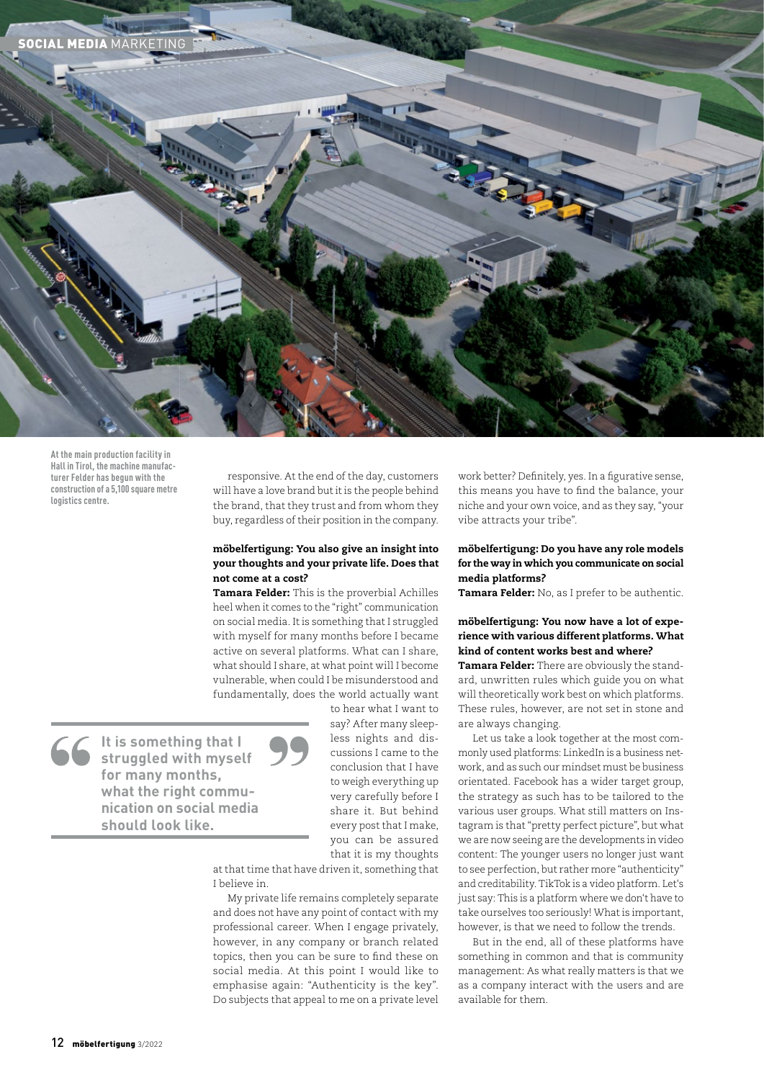

**At the main production facility in Hall in Tirol, the machine manufacturer Felder has begun with the construction of a 5,100 square metre logistics centre.**

responsive. At the end of the day, customers will have a love brand but it is the people behind the brand, that they trust and from whom they buy, regardless of their position in the company.

#### möbelfertigung: You also give an insight into your thoughts and your private life. Does that not come at a cost?

Tamara Felder: This is the proverbial Achilles heel when it comes to the "right" communication on social media. It is something that I struggled with myself for many months before I became active on several platforms. What can I share, what should I share, at what point will I become vulnerable, when could I be misunderstood and fundamentally, does the world actually want

**It is something that I struggled with myself for many months, what the right communication on social media should look like.**

to hear what I want to say? After many sleepless nights and discussions I came to the conclusion that I have to weigh everything up very carefully before I share it. But behind every post that I make, you can be assured that it is my thoughts

at that time that have driven it, something that I believe in.

My private life remains completely separate and does not have any point of contact with my professional career. When I engage privately, however, in any company or branch related topics, then you can be sure to find these on social media. At this point I would like to emphasise again: "Authenticity is the key". Do subjects that appeal to me on a private level work better? Definitely, yes. In a figurative sense, this means you have to find the balance, your niche and your own voice, and as they say, "your vibe attracts your tribe".

#### möbelfertigung: Do you have any role models for the way in which you communicate on social media platforms?

Tamara Felder: No, as I prefer to be authentic.

## möbelfertigung: You now have a lot of experience with various different platforms. What kind of content works best and where?

Tamara Felder: There are obviously the standard, unwritten rules which guide you on what will theoretically work best on which platforms. These rules, however, are not set in stone and are always changing.

Let us take a look together at the most commonly used platforms: LinkedIn is a business network, and as such our mindset must be business orientated. Facebook has a wider target group, the strategy as such has to be tailored to the various user groups. What still matters on Instagram is that "pretty perfect picture", but what we are now seeing are the developments in video content: The younger users no longer just want to see perfection, but rather more "authenticity" and creditability. TikTok is a video platform. Let's just say: This is a platform where we don't have to take ourselves too seriously! What is important, however, is that we need to follow the trends.

But in the end, all of these platforms have something in common and that is community management: As what really matters is that we as a company interact with the users and are available for them.